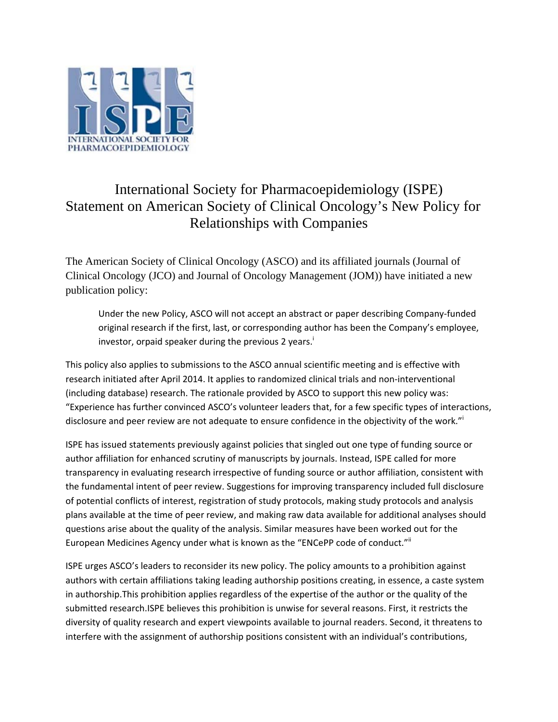

## International Society for Pharmacoepidemiology (ISPE) Statement on American Society of Clinical Oncology's New Policy for Relationships with Companies

The American Society of Clinical Oncology (ASCO) and its affiliated journals (Journal of Clinical Oncology (JCO) and Journal of Oncology Management (JOM)) have initiated a new publication policy:

Under the new Policy, ASCO will not accept an abstract or paper describing Company‐funded original research if the first, last, or corresponding author has been the Company's employee, investor, orpaid speaker during the previous 2 years.<sup>1</sup>

This policy also applies to submissions to the ASCO annual scientific meeting and is effective with research initiated after April 2014. It applies to randomized clinical trials and non‐interventional (including database) research. The rationale provided by ASCO to support this new policy was: "Experience has further convinced ASCO's volunteer leaders that, for a few specific types of interactions, disclosure and peer review are not adequate to ensure confidence in the objectivity of the work."

ISPE has issued statements previously against policies that singled out one type of funding source or author affiliation for enhanced scrutiny of manuscripts by journals. Instead, ISPE called for more transparency in evaluating research irrespective of funding source or author affiliation, consistent with the fundamental intent of peer review. Suggestions for improving transparency included full disclosure of potential conflicts of interest, registration of study protocols, making study protocols and analysis plans available at the time of peer review, and making raw data available for additional analyses should questions arise about the quality of the analysis. Similar measures have been worked out for the European Medicines Agency under what is known as the "ENCePP code of conduct." if

ISPE urges ASCO's leaders to reconsider its new policy. The policy amounts to a prohibition against authors with certain affiliations taking leading authorship positions creating, in essence, a caste system in authorship.This prohibition applies regardless of the expertise of the author or the quality of the submitted research.ISPE believes this prohibition is unwise for several reasons. First, it restricts the diversity of quality research and expert viewpoints available to journal readers. Second, it threatens to interfere with the assignment of authorship positions consistent with an individual's contributions,